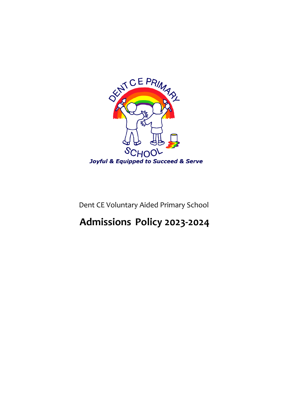

Dent CE Voluntary Aided Primary School

# **Admissions Policy 2023-2024**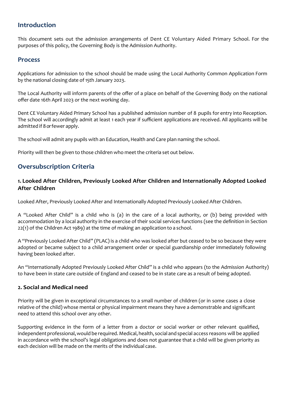### **Introduction**

This document sets out the admission arrangements of Dent CE Voluntary Aided Primary School. For the purposes of this policy, the Governing Body is the Admission Authority.

#### **Process**

Applications for admission to the school should be made using the Local Authority Common Application Form by the national closing date of 15th January 2023.

The Local Authority will inform parents of the offer of a place on behalf of the Governing Body on the national offer date 16th April 2023 or the next working day.

Dent CE Voluntary Aided Primary School has a published admission number of 8 pupils for entry into Reception. The school will accordingly admit at least 1 each year if sufficient applications are received. All applicants will be admitted if 8 orfewer apply.

The school will admit any pupils with an Education, Health and Care plan naming the school.

Priority will then be given to those children who meet the criteria set out below.

## **Oversubscription Criteria**

#### **1. Looked After Children, Previously Looked After Children and Internationally Adopted Looked After Children**

Looked After, Previously Looked After and Internationally Adopted Previously Looked After Children.

A "Looked After Child" is a child who is (a) in the care of a local authority, or (b) being provided with accommodation by a local authority in the exercise of their social services functions (see the definition in Section 22(1) of the Children Act 1989) at the time of making an application to a school.

A "Previously Looked After Child" (PLAC) is a child who was looked after but ceased to be so because they were adopted or became subject to a child arrangement order or special guardianship order immediately following having been looked after.

An "Internationally Adopted Previously Looked After Child" is a child who appears (to the Admission Authority) to have been in state care outside of England and ceased to be in state care as a result of being adopted.

#### **2. Social and Medical need**

Priority will be given in exceptional circumstances to a small number of children (or in some cases a close relative of the child) whose mental or physical impairment means they have a demonstrable and significant need to attend this school over any other.

Supporting evidence in the form of a letter from a doctor or social worker or other relevant qualified, independent professional, would be required. Medical, health, social and special access reasons will be applied in accordance with the school's legal obligations and does not guarantee that a child will be given priority as each decision will be made on the merits of the individual case.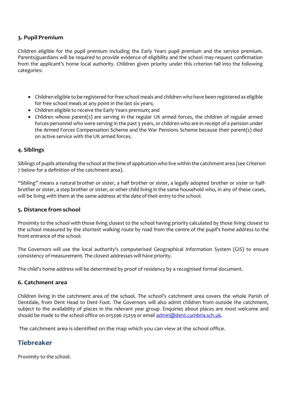#### **3. Pupil Premium**

Children eligible for the pupil premium including the Early Years pupil premium and the service premium. Parents/guardians will be required to provide evidence of eligibility and the school may request confirmation from the applicant's home local authority. Children given priority under this criterion fall into the following categories:

- Children eligible to be registered forfree school meals and children who have been registered as eligible for free school meals at any point in the last six years;
- Children eligible to receive the Early Years premium; and
- Children whose parent(s) are serving in the regular UK armed forces, the children of regular armed forces personnel who were serving in the past 3 years, or children who are in receipt of a pension under the Armed Forces Compensation Scheme and the War Pensions Scheme because their parent(s) died on active service with the UK armed forces.

#### **4. Siblings**

Siblings of pupils attending the school atthe time of application who livewithin the catchment area (see Criterion 7 below for a definition of the catchment area).

"Sibling" means a natural brother or sister, a half brother or sister, a legally adopted brother or sister or halfbrother or sister, a step brother or sister, or other child living in the same household who, in any of these cases, will be living with them at the same address at the date of their entry to the school.

#### **5. Distance from school**

Proximity to the school with those living closest to the school having priority calculated by those living closest to the school measured by the shortest walking route by road from the centre of the pupil's home address to the front entrance of the school.

The Governors will use the local authority's computerised Geographical Information System (GIS) to ensure consistency of measurement. The closest addresses will have priority.

The child's home address will be determined by proof of residency by a recognised formal document.

#### **6. Catchment area**

Children living in the catchment area of the school. The school's catchment area covers the whole Parish of Dentdale, from Dent Head to Dent Foot. The Governors will also admit children from outside the catchment, subject to the availability of places in the relevant year group. Enquiries about places are most welcome and should be made to the school office on 015396 25259 or email [admin@dent.cumbria.sch.uk.](mailto:admin@dent.cumbria.sch.uk)

The catchment area is identified on the map which you can view at the school office.

## **Tiebreaker**

Proximity to the school.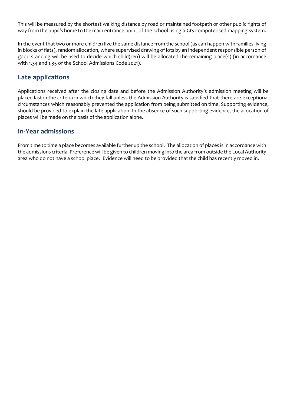This will be measured by the shortest walking distance by road or maintained footpath or other public rights of way from the pupil's home to the main entrance point of the school using a GIS computerised mapping system.

In the event that two or more children live the same distance from the school (as can happen with families living in blocks of flats), random allocation, where supervised drawing of lots by an independent responsible person of good standing will be used to decide which child(ren) will be allocated the remaining place(s) (in accordance with 1.34 and 1.35 of the School Admissions Code 2021).

# **Late applications**

Applications received after the closing date and before the Admission Authority's admission meeting will be placed last in the criteria in which they fall unless the Admission Authority is satisfied that there are exceptional circumstances which reasonably prevented the application from being submitted on time. Supporting evidence, should be provided to explain the late application. In the absence of such supporting evidence, the allocation of places will be made on the basis of the application alone.

## **In-Year admissions**

From time to time a place becomes available further up the school. The allocation of places is in accordance with the admissions criteria. Preference will be given to children moving into the area from outside the Local Authority area who do not have a school place. Evidence will need to be provided that the child has recently moved in.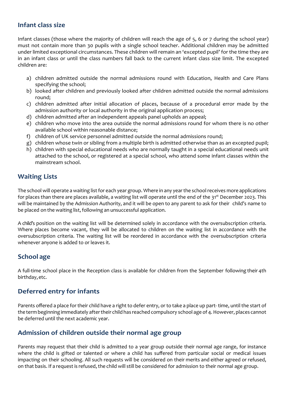# **Infant class size**

Infant classes (those where the majority of children will reach the age of 5, 6 or 7 during the school year) must not contain more than 30 pupils with a single school teacher. Additional children may be admitted under limited exceptional circumstances. These children will remain an 'excepted pupil' for the time they are in an infant class or until the class numbers fall back to the current infant class size limit. The excepted children are:

- a) children admitted outside the normal admissions round with Education, Health and Care Plans specifying the school;
- b) looked after children and previously looked after children admitted outside the normal admissions round;
- c) children admitted after initial allocation of places, because of a procedural error made by the admission authority or local authority in the original application process;
- d) children admitted after an independent appeals panel upholds an appeal;
- e) children who move into the area outside the normal admissions round for whom there is no other available school within reasonable distance;
- f) children of UK service personnel admitted outside the normal admissions round;
- g) children whose twin or sibling from a multiple birth is admitted otherwise than as an excepted pupil;
- h) children with special educational needs who are normally taught in a special educational needs unit attached to the school, or registered at a special school, who attend some infant classes within the mainstream school.

# **Waiting Lists**

The school will operate a waiting list for each year group. Where in any year the school receives more applications for places than there are places available, a waiting list will operate until the end of the  $31^{st}$  December 2023. This will be maintained by the Admission Authority, and it will be open to any parent to ask for their child's name to be placed on the waiting list, following an unsuccessful application.

A child's position on the waiting list will be determined solely in accordance with the oversubscription criteria. Where places become vacant, they will be allocated to children on the waiting list in accordance with the oversubscription criteria. The waiting list will be reordered in accordance with the oversubscription criteria whenever anyone is added to or leaves it.

## **School age**

A full-time school place in the Reception class is available for children from the September following their 4th birthday,etc.

# **Deferred entry for infants**

Parents offered a place fortheir child have a right to defer entry, or to take a place up part- time, until the start of the term beginning immediately after their child has reached compulsory school age of 4. However, places cannot be deferred until the next academic year.

## **Admission of children outside their normal age group**

Parents may request that their child is admitted to a year group outside their normal age range, for instance where the child is gifted or talented or where a child has suffered from particular social or medical issues impacting on their schooling. All such requests will be considered on their merits and either agreed or refused, on that basis. If a request is refused, the child will still be considered for admission to their normal age group.